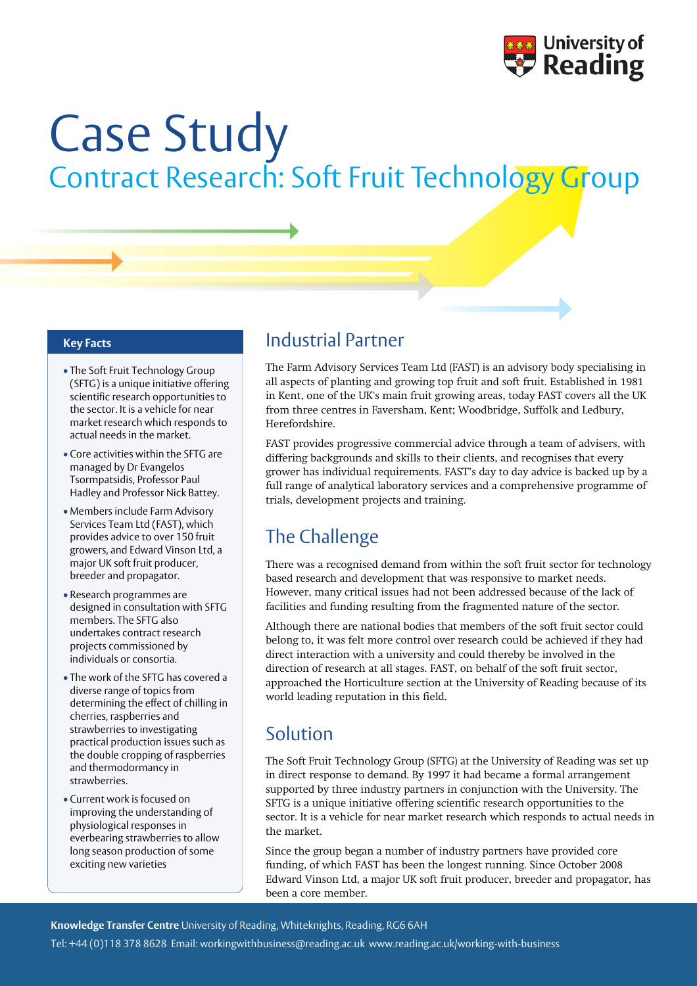

# Case Study Contract Research: Soft Fruit Technology Group

- The Soft Fruit Technology Group (SFTG) is a unique initiative offering scientific research opportunities to the sector. It is a vehicle for near market research which responds to actual needs in the market.
- Core activities within the SFTG are managed by Dr Evangelos Tsormpatsidis, Professor Paul Hadley and Professor Nick Battey.
- Members include Farm Advisory Services Team Ltd (FAST), which provides advice to over 150 fruit growers, and Edward Vinson Ltd, a major UK soft fruit producer, breeder and propagator.
- Research programmes are designed in consultation with SFTG members. The SFTG also undertakes contract research projects commissioned by individuals or consortia.
- The work of the SFTG has covered a diverse range of topics from determining the effect of chilling in cherries, raspberries and strawberries to investigating practical production issues such as the double cropping of raspberries and thermodormancy in strawberries.
- Current work is focused on improving the understanding of physiological responses in everbearing strawberries to allow long season production of some exciting new varieties

#### **Key Facts** Industrial Partner

The Farm Advisory Services Team Ltd (FAST) is an advisory body specialising in all aspects of planting and growing top fruit and soft fruit. Established in 1981 in Kent, one of the UK's main fruit growing areas, today FAST covers all the UK from three centres in Faversham, Kent; Woodbridge, Suffolk and Ledbury, Herefordshire.

FAST provides progressive commercial advice through a team of advisers, with differing backgrounds and skills to their clients, and recognises that every grower has individual requirements. FAST's day to day advice is backed up by a full range of analytical laboratory services and a comprehensive programme of trials, development projects and training.

## The Challenge

There was a recognised demand from within the soft fruit sector for technology based research and development that was responsive to market needs. However, many critical issues had not been addressed because of the lack of facilities and funding resulting from the fragmented nature of the sector.

Although there are national bodies that members of the soft fruit sector could belong to, it was felt more control over research could be achieved if they had direct interaction with a university and could thereby be involved in the direction of research at all stages. FAST, on behalf of the soft fruit sector, approached the Horticulture section at the University of Reading because of its world leading reputation in this field.

#### Solution

The Soft Fruit Technology Group (SFTG) at the University of Reading was set up in direct response to demand. By 1997 it had became a formal arrangement supported by three industry partners in conjunction with the University. The SFTG is a unique initiative offering scientific research opportunities to the sector. It is a vehicle for near market research which responds to actual needs in the market.

Since the group began a number of industry partners have provided core funding, of which FAST has been the longest running. Since October 2008 Edward Vinson Ltd, a major UK soft fruit producer, breeder and propagator, has been a core member.

**Knowledge Transfer Centre** University of Reading, Whiteknights, Reading, RG6 6AH

Tel: +44 (0)118 378 8628 Email: workingwithbusiness@reading.ac.uk www.reading.ac.uk/working-with-business